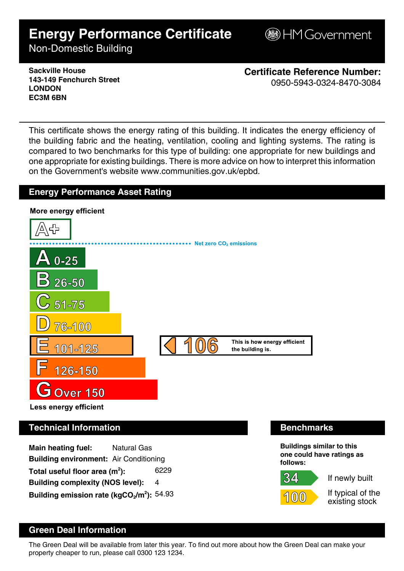# **Energy Performance Certificate**

**B**HM Government

Non-Domestic Building

**Sackville House 143-149 Fenchurch Street LONDON EC3M 6BN**

**Certificate Reference Number:** 0950-5943-0324-8470-3084

This certificate shows the energy rating of this building. It indicates the energy efficiency of the building fabric and the heating, ventilation, cooling and lighting systems. The rating is compared to two benchmarks for this type of building: one appropriate for new buildings and one appropriate for existing buildings. There is more advice on how to interpret this information on the Government's website www.communities.gov.uk/epbd.

#### **Energy Performance Asset Rating**



**Building environment:** Air Conditioning Total useful floor area (m<sup>2</sup>): **):** 6229 **Building complexity (NOS level):** 4 **Building emission rate (kgCO2/m<sup>2</sup> ):** 54.93



If newly built

34.

If typical of the existing stock

## **Green Deal Information**

The Green Deal will be available from later this year. To find out more about how the Green Deal can make your property cheaper to run, please call 0300 123 1234.